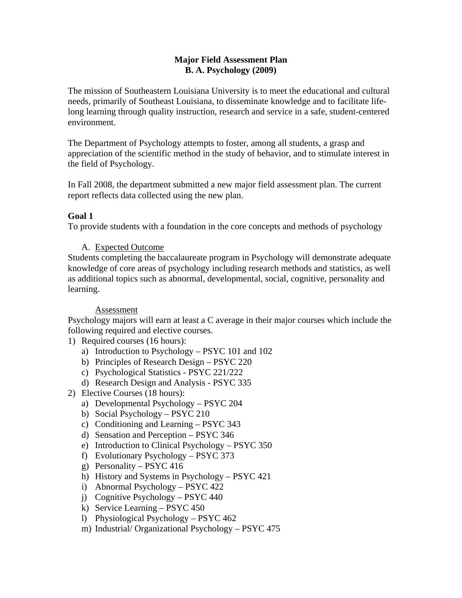## **Major Field Assessment Plan B. A. Psychology (2009)**

The mission of Southeastern Louisiana University is to meet the educational and cultural needs, primarily of Southeast Louisiana, to disseminate knowledge and to facilitate lifelong learning through quality instruction, research and service in a safe, student-centered environment.

The Department of Psychology attempts to foster, among all students, a grasp and appreciation of the scientific method in the study of behavior, and to stimulate interest in the field of Psychology.

In Fall 2008, the department submitted a new major field assessment plan. The current report reflects data collected using the new plan.

# **Goal 1**

To provide students with a foundation in the core concepts and methods of psychology

# A. Expected Outcome

Students completing the baccalaureate program in Psychology will demonstrate adequate knowledge of core areas of psychology including research methods and statistics, as well as additional topics such as abnormal, developmental, social, cognitive, personality and learning.

# Assessment

Psychology majors will earn at least a C average in their major courses which include the following required and elective courses.

- 1) Required courses (16 hours):
	- a) Introduction to Psychology PSYC 101 and 102
	- b) Principles of Research Design PSYC 220
	- c) Psychological Statistics PSYC 221/222
	- d) Research Design and Analysis PSYC 335
- 2) Elective Courses (18 hours):
	- a) Developmental Psychology PSYC 204
	- b) Social Psychology PSYC 210
	- c) Conditioning and Learning PSYC 343
	- d) Sensation and Perception PSYC 346
	- e) Introduction to Clinical Psychology PSYC 350
	- f) Evolutionary Psychology PSYC 373
	- g) Personality PSYC 416
	- h) History and Systems in Psychology PSYC 421
	- i) Abnormal Psychology PSYC 422
	- j) Cognitive Psychology PSYC 440
	- k) Service Learning PSYC 450
	- l) Physiological Psychology PSYC 462
	- m) Industrial/ Organizational Psychology PSYC 475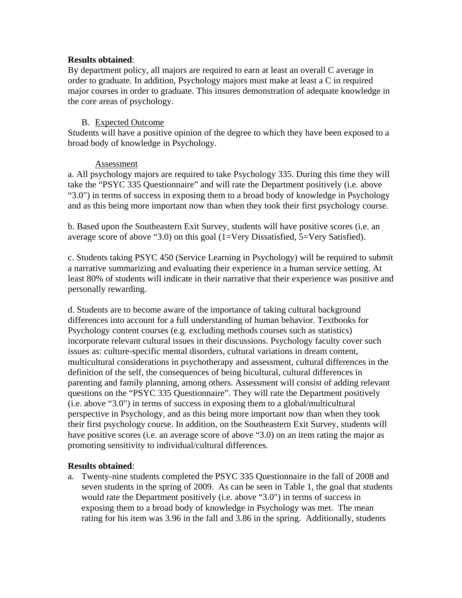## **Results obtained**:

By department policy, all majors are required to earn at least an overall C average in order to graduate. In addition, Psychology majors must make at least a C in required major courses in order to graduate. This insures demonstration of adequate knowledge in the core areas of psychology.

## B. Expected Outcome

Students will have a positive opinion of the degree to which they have been exposed to a broad body of knowledge in Psychology.

## Assessment

a. All psychology majors are required to take Psychology 335. During this time they will take the "PSYC 335 Questionnaire" and will rate the Department positively (i.e. above "3.0") in terms of success in exposing them to a broad body of knowledge in Psychology and as this being more important now than when they took their first psychology course.

b. Based upon the Southeastern Exit Survey, students will have positive scores (i.e. an average score of above "3.0) on this goal (1=Very Dissatisfied, 5=Very Satisfied).

c. Students taking PSYC 450 (Service Learning in Psychology) will be required to submit a narrative summarizing and evaluating their experience in a human service setting. At least 80% of students will indicate in their narrative that their experience was positive and personally rewarding.

d. Students are to become aware of the importance of taking cultural background differences into account for a full understanding of human behavior. Textbooks for Psychology content courses (e.g. excluding methods courses such as statistics) incorporate relevant cultural issues in their discussions. Psychology faculty cover such issues as: culture-specific mental disorders, cultural variations in dream content, multicultural considerations in psychotherapy and assessment, cultural differences in the definition of the self, the consequences of being bicultural, cultural differences in parenting and family planning, among others. Assessment will consist of adding relevant questions on the "PSYC 335 Questionnaire". They will rate the Department positively (i.e. above "3.0") in terms of success in exposing them to a global/multicultural perspective in Psychology, and as this being more important now than when they took their first psychology course. In addition, on the Southeastern Exit Survey, students will have positive scores (i.e. an average score of above "3.0) on an item rating the major as promoting sensitivity to individual/cultural differences.

## **Results obtained**:

a. Twenty-nine students completed the PSYC 335 Questionnaire in the fall of 2008 and seven students in the spring of 2009. As can be seen in Table 1, the goal that students would rate the Department positively (i.e. above "3.0") in terms of success in exposing them to a broad body of knowledge in Psychology was met. The mean rating for his item was 3.96 in the fall and 3.86 in the spring. Additionally, students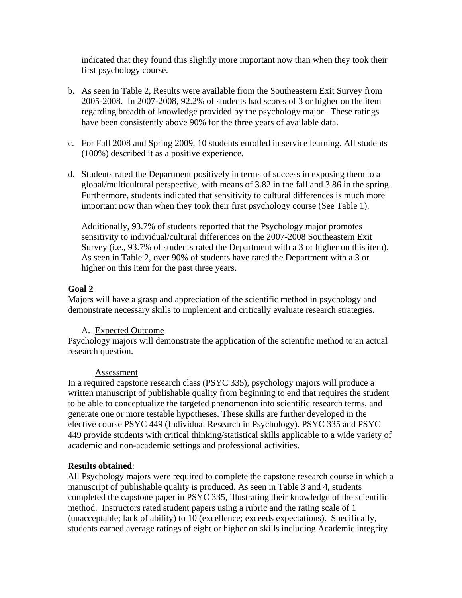indicated that they found this slightly more important now than when they took their first psychology course.

- b. As seen in Table 2, Results were available from the Southeastern Exit Survey from 2005-2008. In 2007-2008, 92.2% of students had scores of 3 or higher on the item regarding breadth of knowledge provided by the psychology major. These ratings have been consistently above 90% for the three years of available data.
- c. For Fall 2008 and Spring 2009, 10 students enrolled in service learning. All students (100%) described it as a positive experience.
- d. Students rated the Department positively in terms of success in exposing them to a global/multicultural perspective, with means of 3.82 in the fall and 3.86 in the spring. Furthermore, students indicated that sensitivity to cultural differences is much more important now than when they took their first psychology course (See Table 1).

Additionally, 93.7% of students reported that the Psychology major promotes sensitivity to individual/cultural differences on the 2007-2008 Southeastern Exit Survey (i.e., 93.7% of students rated the Department with a 3 or higher on this item). As seen in Table 2, over 90% of students have rated the Department with a 3 or higher on this item for the past three years.

## **Goal 2**

Majors will have a grasp and appreciation of the scientific method in psychology and demonstrate necessary skills to implement and critically evaluate research strategies.

# A. Expected Outcome

Psychology majors will demonstrate the application of the scientific method to an actual research question.

## Assessment

In a required capstone research class (PSYC 335), psychology majors will produce a written manuscript of publishable quality from beginning to end that requires the student to be able to conceptualize the targeted phenomenon into scientific research terms, and generate one or more testable hypotheses. These skills are further developed in the elective course PSYC 449 (Individual Research in Psychology). PSYC 335 and PSYC 449 provide students with critical thinking/statistical skills applicable to a wide variety of academic and non-academic settings and professional activities.

# **Results obtained**:

All Psychology majors were required to complete the capstone research course in which a manuscript of publishable quality is produced. As seen in Table 3 and 4, students completed the capstone paper in PSYC 335, illustrating their knowledge of the scientific method. Instructors rated student papers using a rubric and the rating scale of 1 (unacceptable; lack of ability) to 10 (excellence; exceeds expectations). Specifically, students earned average ratings of eight or higher on skills including Academic integrity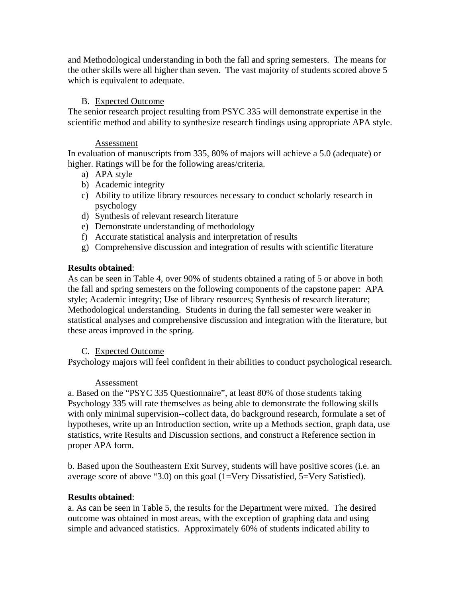and Methodological understanding in both the fall and spring semesters. The means for the other skills were all higher than seven. The vast majority of students scored above 5 which is equivalent to adequate.

## B. Expected Outcome

The senior research project resulting from PSYC 335 will demonstrate expertise in the scientific method and ability to synthesize research findings using appropriate APA style.

#### Assessment

In evaluation of manuscripts from 335, 80% of majors will achieve a 5.0 (adequate) or higher. Ratings will be for the following areas/criteria.

- a) APA style
- b) Academic integrity
- c) Ability to utilize library resources necessary to conduct scholarly research in psychology
- d) Synthesis of relevant research literature
- e) Demonstrate understanding of methodology
- f) Accurate statistical analysis and interpretation of results
- g) Comprehensive discussion and integration of results with scientific literature

## **Results obtained**:

As can be seen in Table 4, over 90% of students obtained a rating of 5 or above in both the fall and spring semesters on the following components of the capstone paper: APA style; Academic integrity; Use of library resources; Synthesis of research literature; Methodological understanding. Students in during the fall semester were weaker in statistical analyses and comprehensive discussion and integration with the literature, but these areas improved in the spring.

## C. Expected Outcome

Psychology majors will feel confident in their abilities to conduct psychological research.

## Assessment

a. Based on the "PSYC 335 Questionnaire", at least 80% of those students taking Psychology 335 will rate themselves as being able to demonstrate the following skills with only minimal supervision--collect data, do background research, formulate a set of hypotheses, write up an Introduction section, write up a Methods section, graph data, use statistics, write Results and Discussion sections, and construct a Reference section in proper APA form.

b. Based upon the Southeastern Exit Survey, students will have positive scores (i.e. an average score of above "3.0) on this goal (1=Very Dissatisfied, 5=Very Satisfied).

## **Results obtained**:

a. As can be seen in Table 5, the results for the Department were mixed. The desired outcome was obtained in most areas, with the exception of graphing data and using simple and advanced statistics. Approximately 60% of students indicated ability to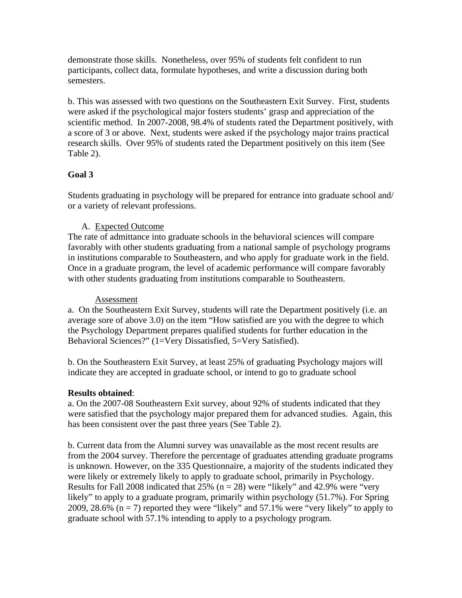demonstrate those skills. Nonetheless, over 95% of students felt confident to run participants, collect data, formulate hypotheses, and write a discussion during both semesters.

b. This was assessed with two questions on the Southeastern Exit Survey. First, students were asked if the psychological major fosters students' grasp and appreciation of the scientific method. In 2007-2008, 98.4% of students rated the Department positively, with a score of 3 or above. Next, students were asked if the psychology major trains practical research skills. Over 95% of students rated the Department positively on this item (See Table 2).

# **Goal 3**

Students graduating in psychology will be prepared for entrance into graduate school and/ or a variety of relevant professions.

# A. Expected Outcome

The rate of admittance into graduate schools in the behavioral sciences will compare favorably with other students graduating from a national sample of psychology programs in institutions comparable to Southeastern, and who apply for graduate work in the field. Once in a graduate program, the level of academic performance will compare favorably with other students graduating from institutions comparable to Southeastern.

# Assessment

a. On the Southeastern Exit Survey, students will rate the Department positively (i.e. an average sore of above 3.0) on the item "How satisfied are you with the degree to which the Psychology Department prepares qualified students for further education in the Behavioral Sciences?" (1=Very Dissatisfied, 5=Very Satisfied).

b. On the Southeastern Exit Survey, at least 25% of graduating Psychology majors will indicate they are accepted in graduate school, or intend to go to graduate school

# **Results obtained**:

a. On the 2007-08 Southeastern Exit survey, about 92% of students indicated that they were satisfied that the psychology major prepared them for advanced studies. Again, this has been consistent over the past three years (See Table 2).

b. Current data from the Alumni survey was unavailable as the most recent results are from the 2004 survey. Therefore the percentage of graduates attending graduate programs is unknown. However, on the 335 Questionnaire, a majority of the students indicated they were likely or extremely likely to apply to graduate school, primarily in Psychology. Results for Fall 2008 indicated that 25% ( $n = 28$ ) were "likely" and 42.9% were "very likely" to apply to a graduate program, primarily within psychology (51.7%). For Spring 2009, 28.6%  $(n = 7)$  reported they were "likely" and 57.1% were "very likely" to apply to graduate school with 57.1% intending to apply to a psychology program.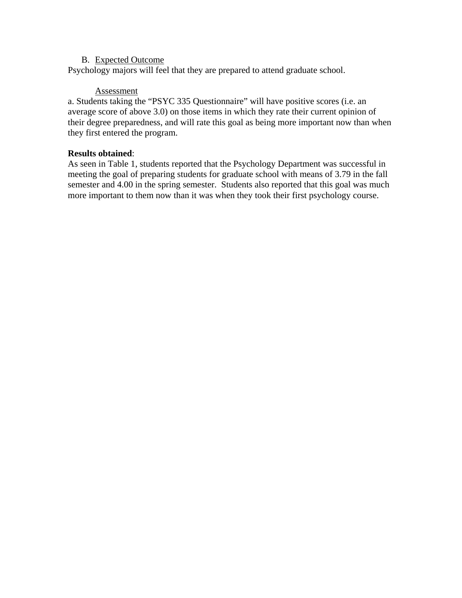## B. Expected Outcome

Psychology majors will feel that they are prepared to attend graduate school.

## **Assessment**

a. Students taking the "PSYC 335 Questionnaire" will have positive scores (i.e. an average score of above 3.0) on those items in which they rate their current opinion of their degree preparedness, and will rate this goal as being more important now than when they first entered the program.

## **Results obtained**:

As seen in Table 1, students reported that the Psychology Department was successful in meeting the goal of preparing students for graduate school with means of 3.79 in the fall semester and 4.00 in the spring semester. Students also reported that this goal was much more important to them now than it was when they took their first psychology course.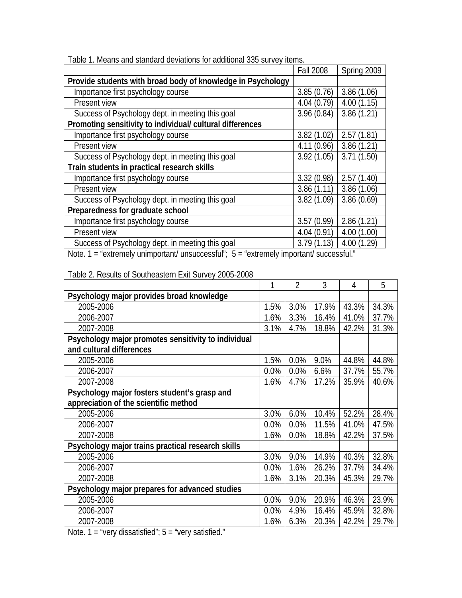|                                                             | <b>Fall 2008</b> | Spring 2009 |
|-------------------------------------------------------------|------------------|-------------|
| Provide students with broad body of knowledge in Psychology |                  |             |
| Importance first psychology course                          | 3.85(0.76)       | 3.86(1.06)  |
| Present view                                                | 4.04(0.79)       | 4.00(1.15)  |
| Success of Psychology dept. in meeting this goal            | 3.96(0.84)       | 3.86(1.21)  |
| Promoting sensitivity to individual/ cultural differences   |                  |             |
| Importance first psychology course                          | 3.82(1.02)       | 2.57(1.81)  |
| Present view                                                | 4.11(0.96)       | 3.86(1.21)  |
| Success of Psychology dept. in meeting this goal            | 3.92(1.05)       | 3.71(1.50)  |
| Train students in practical research skills                 |                  |             |
| Importance first psychology course                          | 3.32(0.98)       | 2.57(1.40)  |
| Present view                                                | 3.86(1.11)       | 3.86(1.06)  |
| Success of Psychology dept. in meeting this goal            | 3.82(1.09)       | 3.86(0.69)  |
| Preparedness for graduate school                            |                  |             |
| Importance first psychology course                          | 3.57(0.99)       | 2.86(1.21)  |
| Present view                                                | 4.04(0.91)       | 4.00(1.00)  |
| Success of Psychology dept. in meeting this goal            | 3.79(1.13)       | 4.00(1.29)  |

Table 1. Means and standard deviations for additional 335 survey items.

Note. 1 = "extremely unimportant/ unsuccessful"; 5 = "extremely important/ successful."

|                                                     |      | $\overline{2}$ | 3     | 4     | 5     |
|-----------------------------------------------------|------|----------------|-------|-------|-------|
| Psychology major provides broad knowledge           |      |                |       |       |       |
| 2005-2006                                           | 1.5% | 3.0%           | 17.9% | 43.3% | 34.3% |
| 2006-2007                                           | 1.6% | 3.3%           | 16.4% | 41.0% | 37.7% |
| 2007-2008                                           | 3.1% | 4.7%           | 18.8% | 42.2% | 31.3% |
| Psychology major promotes sensitivity to individual |      |                |       |       |       |
| and cultural differences                            |      |                |       |       |       |
| 2005-2006                                           | 1.5% | 0.0%           | 9.0%  | 44.8% | 44.8% |
| 2006-2007                                           | 0.0% | 0.0%           | 6.6%  | 37.7% | 55.7% |
| 2007-2008                                           | 1.6% | 4.7%           | 17.2% | 35.9% | 40.6% |
| Psychology major fosters student's grasp and        |      |                |       |       |       |
| appreciation of the scientific method               |      |                |       |       |       |
| 2005-2006                                           | 3.0% | 6.0%           | 10.4% | 52.2% | 28.4% |
| 2006-2007                                           | 0.0% | 0.0%           | 11.5% | 41.0% | 47.5% |
| 2007-2008                                           | 1.6% | 0.0%           | 18.8% | 42.2% | 37.5% |
| Psychology major trains practical research skills   |      |                |       |       |       |
| 2005-2006                                           | 3.0% | 9.0%           | 14.9% | 40.3% | 32.8% |
| 2006-2007                                           | 0.0% | 1.6%           | 26.2% | 37.7% | 34.4% |
| 2007-2008                                           | 1.6% | 3.1%           | 20.3% | 45.3% | 29.7% |
| Psychology major prepares for advanced studies      |      |                |       |       |       |
| 2005-2006                                           | 0.0% | 9.0%           | 20.9% | 46.3% | 23.9% |
| 2006-2007                                           | 0.0% | 4.9%           | 16.4% | 45.9% | 32.8% |
| 2007-2008                                           | 1.6% | 6.3%           | 20.3% | 42.2% | 29.7% |

Table 2. Results of Southeastern Exit Survey 2005-2008

Note.  $1 =$  "very dissatisfied";  $5 =$  "very satisfied."